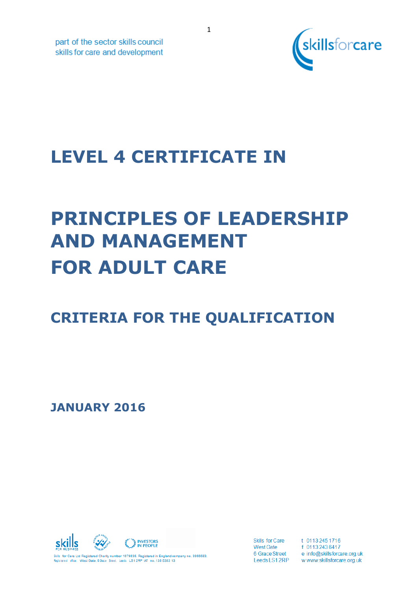

part of the sector skills council skills for care and development

## **LEVEL 4 CERTIFICATE IN**

# **PRINCIPLES OF LEADERSHIP AND MANAGEMENT FOR ADULT CARE**

## **CRITERIA FOR THE QUALIFICATION**

**JANUARY 2016**



**Skills for Care West Gate** 6 Grace Street t 0113 245 1716 f 0113 243 6417 e info@skillsforcare.org.uk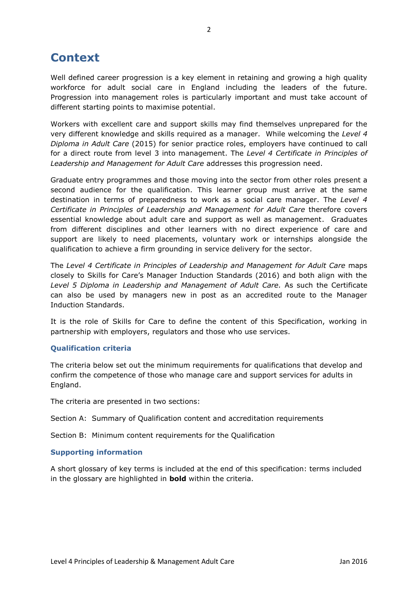## **Context**

Well defined career progression is a key element in retaining and growing a high quality workforce for adult social care in England including the leaders of the future. Progression into management roles is particularly important and must take account of different starting points to maximise potential.

Workers with excellent care and support skills may find themselves unprepared for the very different knowledge and skills required as a manager. While welcoming the *Level 4 Diploma in Adult Care* (2015) for senior practice roles, employers have continued to call for a direct route from level 3 into management. The *Level 4 Certificate in Principles of Leadership and Management for Adult Care* addresses this progression need.

Graduate entry programmes and those moving into the sector from other roles present a second audience for the qualification. This learner group must arrive at the same destination in terms of preparedness to work as a social care manager. The *Level 4 Certificate in Principles of Leadership and Management for Adult Care* therefore covers essential knowledge about adult care and support as well as management. Graduates from different disciplines and other learners with no direct experience of care and support are likely to need placements, voluntary work or internships alongside the qualification to achieve a firm grounding in service delivery for the sector.

The *Level 4 Certificate in Principles of Leadership and Management for Adult Care* maps closely to Skills for Care's Manager Induction Standards (2016) and both align with the Level 5 Diploma in Leadership and Management of Adult Care. As such the Certificate can also be used by managers new in post as an accredited route to the Manager Induction Standards.

It is the role of Skills for Care to define the content of this Specification, working in partnership with employers, regulators and those who use services.

#### **Qualification criteria**

The criteria below set out the minimum requirements for qualifications that develop and confirm the competence of those who manage care and support services for adults in England.

The criteria are presented in two sections:

Section A: Summary of Qualification content and accreditation requirements

Section B: Minimum content requirements for the Qualification

#### **Supporting information**

A short glossary of key terms is included at the end of this specification: terms included in the glossary are highlighted in **bold** within the criteria.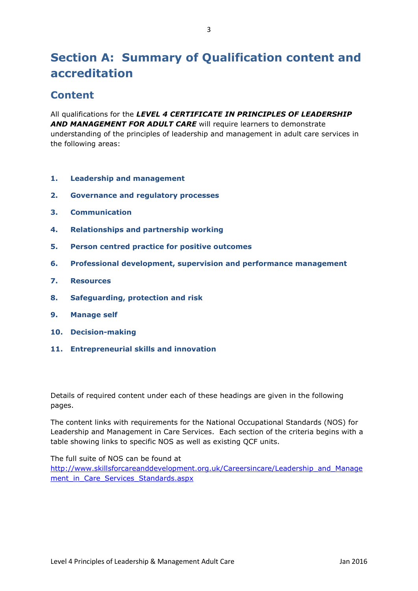## **Section A: Summary of Qualification content and accreditation**

### **Content**

All qualifications for the *LEVEL 4 CERTIFICATE IN PRINCIPLES OF LEADERSHIP AND MANAGEMENT FOR ADULT CARE* will require learners to demonstrate understanding of the principles of leadership and management in adult care services in the following areas:

- **1. Leadership and management**
- **2. Governance and regulatory processes**
- **3. Communication**
- **4. Relationships and partnership working**
- **5. Person centred practice for positive outcomes**
- **6. Professional development, supervision and performance management**
- **7. Resources**
- **8. Safeguarding, protection and risk**
- **9. Manage self**
- **10. Decision-making**
- **11. Entrepreneurial skills and innovation**

Details of required content under each of these headings are given in the following pages.

The content links with requirements for the National Occupational Standards (NOS) for Leadership and Management in Care Services. Each section of the criteria begins with a table showing links to specific NOS as well as existing QCF units.

The full suite of NOS can be found at

[http://www.skillsforcareanddevelopment.org.uk/Careersincare/Leadership\\_and\\_Manage](http://www.skillsforcareanddevelopment.org.uk/Careersincare/Leadership_and_Management_in_Care_Services_Standards.aspx) ment in Care Services Standards.aspx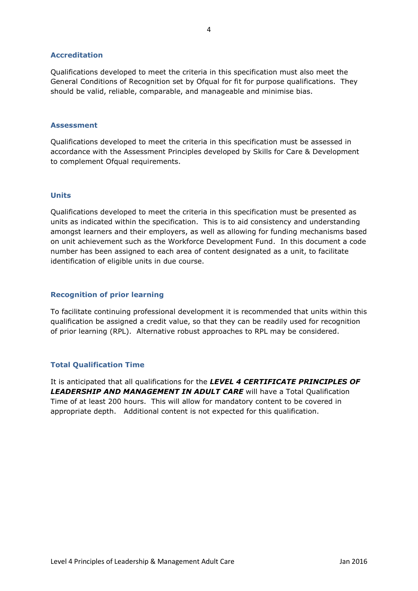#### **Accreditation**

Qualifications developed to meet the criteria in this specification must also meet the General Conditions of Recognition set by Ofqual for fit for purpose qualifications. They should be valid, reliable, comparable, and manageable and minimise bias.

#### **Assessment**

Qualifications developed to meet the criteria in this specification must be assessed in accordance with the Assessment Principles developed by Skills for Care & Development to complement Ofqual requirements.

#### **Units**

Qualifications developed to meet the criteria in this specification must be presented as units as indicated within the specification. This is to aid consistency and understanding amongst learners and their employers, as well as allowing for funding mechanisms based on unit achievement such as the Workforce Development Fund. In this document a code number has been assigned to each area of content designated as a unit, to facilitate identification of eligible units in due course.

#### **Recognition of prior learning**

To facilitate continuing professional development it is recommended that units within this qualification be assigned a credit value, so that they can be readily used for recognition of prior learning (RPL). Alternative robust approaches to RPL may be considered.

#### **Total Qualification Time**

It is anticipated that all qualifications for the *LEVEL 4 CERTIFICATE PRINCIPLES OF LEADERSHIP AND MANAGEMENT IN ADULT CARE* will have a Total Qualification Time of at least 200 hours. This will allow for mandatory content to be covered in appropriate depth. Additional content is not expected for this qualification.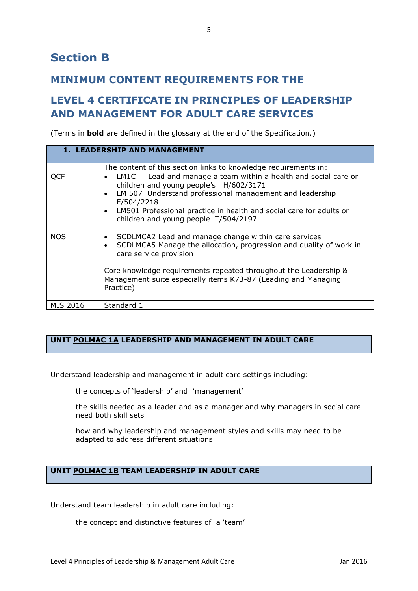### **MINIMUM CONTENT REQUIREMENTS FOR THE**

## **LEVEL 4 CERTIFICATE IN PRINCIPLES OF LEADERSHIP AND MANAGEMENT FOR ADULT CARE SERVICES**

(Terms in **bold** are defined in the glossary at the end of the Specification.)

|            | 1. LEADERSHIP AND MANAGEMENT                                                                                                                                                                                                                                                                                                                |
|------------|---------------------------------------------------------------------------------------------------------------------------------------------------------------------------------------------------------------------------------------------------------------------------------------------------------------------------------------------|
|            | The content of this section links to knowledge requirements in:                                                                                                                                                                                                                                                                             |
| <b>QCF</b> | Lead and manage a team within a health and social care or<br>LM1C<br>$\bullet$<br>children and young people's H/602/3171<br>LM 507 Understand professional management and leadership<br>$\bullet$<br>F/504/2218<br>LM501 Professional practice in health and social care for adults or<br>$\bullet$<br>children and young people T/504/2197 |
| <b>NOS</b> | SCDLMCA2 Lead and manage change within care services<br>$\bullet$<br>SCDLMCA5 Manage the allocation, progression and quality of work in<br>$\bullet$<br>care service provision<br>Core knowledge requirements repeated throughout the Leadership &<br>Management suite especially items K73-87 (Leading and Managing<br>Practice)           |
| MIS 2016   | Standard 1                                                                                                                                                                                                                                                                                                                                  |

#### **UNIT POLMAC 1A LEADERSHIP AND MANAGEMENT IN ADULT CARE**

Understand leadership and management in adult care settings including:

the concepts of 'leadership' and 'management'

the skills needed as a leader and as a manager and why managers in social care need both skill sets

how and why leadership and management styles and skills may need to be adapted to address different situations

#### **UNIT POLMAC 1B TEAM LEADERSHIP IN ADULT CARE**

Understand team leadership in adult care including:

the concept and distinctive features of a 'team'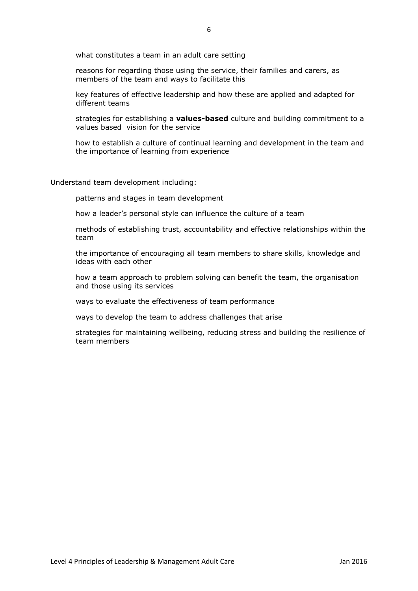what constitutes a team in an adult care setting

reasons for regarding those using the service, their families and carers, as members of the team and ways to facilitate this

key features of effective leadership and how these are applied and adapted for different teams

strategies for establishing a **values-based** culture and building commitment to a values based vision for the service

how to establish a culture of continual learning and development in the team and the importance of learning from experience

Understand team development including:

patterns and stages in team development

how a leader's personal style can influence the culture of a team

methods of establishing trust, accountability and effective relationships within the team

the importance of encouraging all team members to share skills, knowledge and ideas with each other

how a team approach to problem solving can benefit the team, the organisation and those using its services

ways to evaluate the effectiveness of team performance

ways to develop the team to address challenges that arise

strategies for maintaining wellbeing, reducing stress and building the resilience of team members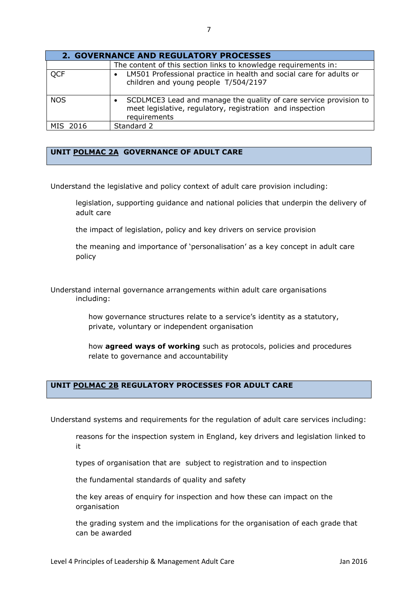| <b>2. GOVERNANCE AND REGULATORY PROCESSES</b> |                                                                                                                                                |
|-----------------------------------------------|------------------------------------------------------------------------------------------------------------------------------------------------|
|                                               | The content of this section links to knowledge requirements in:                                                                                |
| <b>QCF</b>                                    | LM501 Professional practice in health and social care for adults or<br>children and young people T/504/2197                                    |
| <b>NOS</b>                                    | SCDLMCE3 Lead and manage the quality of care service provision to<br>meet legislative, regulatory, registration and inspection<br>requirements |
| MIS 2016                                      | Standard 2                                                                                                                                     |

#### **UNIT POLMAC 2A GOVERNANCE OF ADULT CARE**

Understand the legislative and policy context of adult care provision including:

legislation, supporting guidance and national policies that underpin the delivery of adult care

the impact of legislation, policy and key drivers on service provision

the meaning and importance of 'personalisation' as a key concept in adult care policy

Understand internal governance arrangements within adult care organisations including:

> how governance structures relate to a service's identity as a statutory, private, voluntary or independent organisation

how **agreed ways of working** such as protocols, policies and procedures relate to governance and accountability

#### **UNIT POLMAC 2B REGULATORY PROCESSES FOR ADULT CARE**

Understand systems and requirements for the regulation of adult care services including:

reasons for the inspection system in England, key drivers and legislation linked to it

types of organisation that are subject to registration and to inspection

the fundamental standards of quality and safety

the key areas of enquiry for inspection and how these can impact on the organisation

the grading system and the implications for the organisation of each grade that can be awarded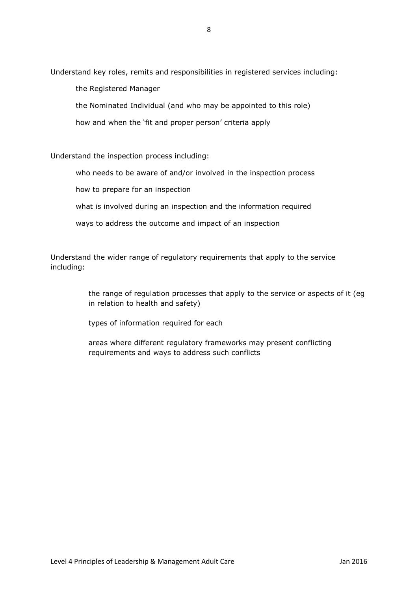Understand key roles, remits and responsibilities in registered services including:

the Registered Manager

the Nominated Individual (and who may be appointed to this role)

how and when the 'fit and proper person' criteria apply

Understand the inspection process including:

who needs to be aware of and/or involved in the inspection process

how to prepare for an inspection

what is involved during an inspection and the information required

ways to address the outcome and impact of an inspection

Understand the wider range of regulatory requirements that apply to the service including:

> the range of regulation processes that apply to the service or aspects of it (eg in relation to health and safety)

types of information required for each

areas where different regulatory frameworks may present conflicting requirements and ways to address such conflicts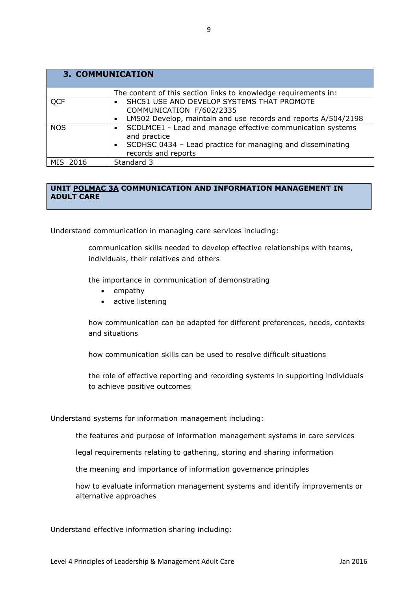| <b>3. COMMUNICATION</b> |                                                                            |
|-------------------------|----------------------------------------------------------------------------|
|                         | The content of this section links to knowledge requirements in:            |
| <b>QCF</b>              | SHC51 USE AND DEVELOP SYSTEMS THAT PROMOTE                                 |
|                         | COMMUNICATION F/602/2335                                                   |
|                         | LM502 Develop, maintain and use records and reports A/504/2198             |
| <b>NOS</b>              | SCDLMCE1 - Lead and manage effective communication systems<br>and practice |
|                         | SCDHSC 0434 - Lead practice for managing and disseminating                 |
|                         | records and reports                                                        |
| MIS 2016                | Standard 3                                                                 |

#### **UNIT POLMAC 3A COMMUNICATION AND INFORMATION MANAGEMENT IN ADULT CARE**

Understand communication in managing care services including:

communication skills needed to develop effective relationships with teams, individuals, their relatives and others

the importance in communication of demonstrating

- empathy
- active listening

how communication can be adapted for different preferences, needs, contexts and situations

how communication skills can be used to resolve difficult situations

the role of effective reporting and recording systems in supporting individuals to achieve positive outcomes

Understand systems for information management including:

the features and purpose of information management systems in care services

legal requirements relating to gathering, storing and sharing information

the meaning and importance of information governance principles

how to evaluate information management systems and identify improvements or alternative approaches

Understand effective information sharing including: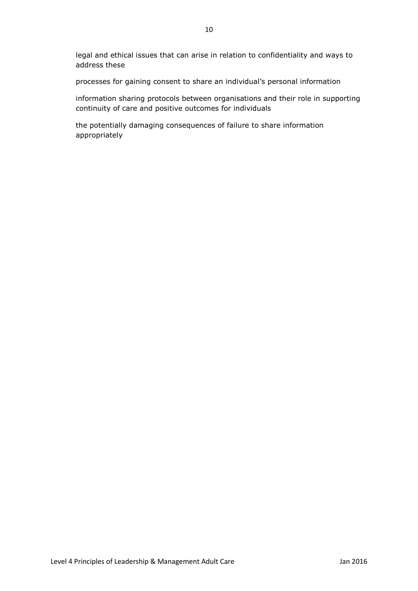legal and ethical issues that can arise in relation to confidentiality and ways to address these

processes for gaining consent to share an individual's personal information

information sharing protocols between organisations and their role in supporting continuity of care and positive outcomes for individuals

the potentially damaging consequences of failure to share information appropriately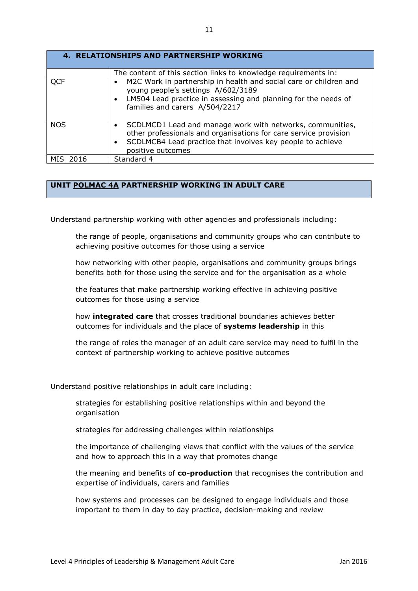|            | <b>4. RELATIONSHIPS AND PARTNERSHIP WORKING</b>                                                                                                                                                                                            |
|------------|--------------------------------------------------------------------------------------------------------------------------------------------------------------------------------------------------------------------------------------------|
|            | The content of this section links to knowledge requirements in:                                                                                                                                                                            |
| <b>QCF</b> | M2C Work in partnership in health and social care or children and<br>$\bullet$<br>young people's settings A/602/3189<br>• LM504 Lead practice in assessing and planning for the needs of<br>families and carers A/504/2217                 |
| <b>NOS</b> | SCDLMCD1 Lead and manage work with networks, communities,<br>$\bullet$<br>other professionals and organisations for care service provision<br>SCDLMCB4 Lead practice that involves key people to achieve<br>$\bullet$<br>positive outcomes |
| MIS 2016   | Standard 4                                                                                                                                                                                                                                 |

#### **UNIT POLMAC 4A PARTNERSHIP WORKING IN ADULT CARE**

Understand partnership working with other agencies and professionals including:

the range of people, organisations and community groups who can contribute to achieving positive outcomes for those using a service

how networking with other people, organisations and community groups brings benefits both for those using the service and for the organisation as a whole

the features that make partnership working effective in achieving positive outcomes for those using a service

how **integrated care** that crosses traditional boundaries achieves better outcomes for individuals and the place of **systems leadership** in this

the range of roles the manager of an adult care service may need to fulfil in the context of partnership working to achieve positive outcomes

Understand positive relationships in adult care including:

strategies for establishing positive relationships within and beyond the organisation

strategies for addressing challenges within relationships

the importance of challenging views that conflict with the values of the service and how to approach this in a way that promotes change

the meaning and benefits of **co-production** that recognises the contribution and expertise of individuals, carers and families

how systems and processes can be designed to engage individuals and those important to them in day to day practice, decision-making and review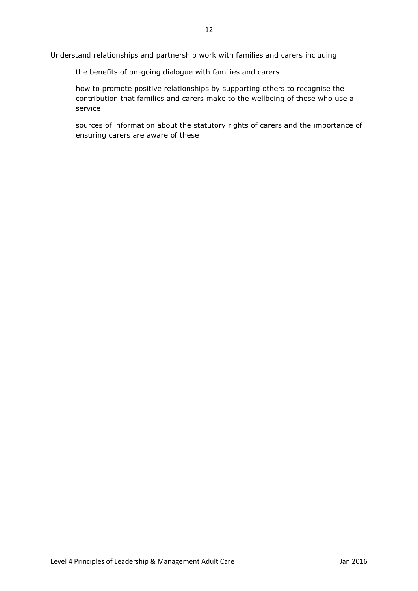Understand relationships and partnership work with families and carers including

the benefits of on-going dialogue with families and carers

how to promote positive relationships by supporting others to recognise the contribution that families and carers make to the wellbeing of those who use a service

sources of information about the statutory rights of carers and the importance of ensuring carers are aware of these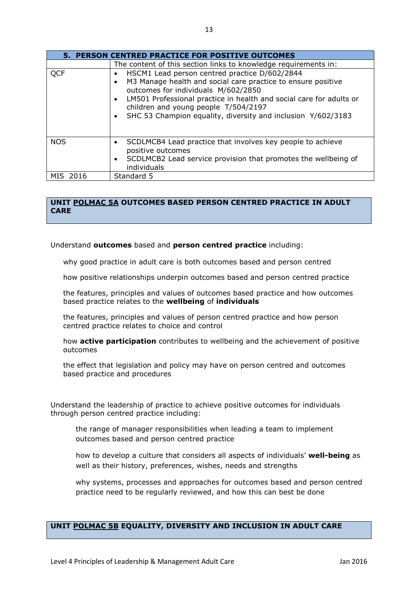|            | 5. PERSON CENTRED PRACTICE FOR POSITIVE OUTCOMES                                                                                                                                                                                                                                                                                    |
|------------|-------------------------------------------------------------------------------------------------------------------------------------------------------------------------------------------------------------------------------------------------------------------------------------------------------------------------------------|
|            | The content of this section links to knowledge requirements in:                                                                                                                                                                                                                                                                     |
| <b>QCF</b> | HSCM1 Lead person centred practice D/602/2844<br>M3 Manage health and social care practice to ensure positive<br>outcomes for individuals M/602/2850<br>LM501 Professional practice in health and social care for adults or<br>children and young people T/504/2197<br>SHC 53 Champion equality, diversity and inclusion Y/602/3183 |
| <b>NOS</b> | SCDLMCB4 Lead practice that involves key people to achieve<br>positive outcomes<br>SCDLMCB2 Lead service provision that promotes the wellbeing of<br>individuals                                                                                                                                                                    |
| 2016       | Standard 5                                                                                                                                                                                                                                                                                                                          |

#### **UNIT POLMAC 5A OUTCOMES BASED PERSON CENTRED PRACTICE IN ADULT CARE**

Understand **outcomes** based and **person centred practice** including:

why good practice in adult care is both outcomes based and person centred

how positive relationships underpin outcomes based and person centred practice

the features, principles and values of outcomes based practice and how outcomes based practice relates to the **wellbeing** of **individuals**

the features, principles and values of person centred practice and how person centred practice relates to choice and control

how **active participation** contributes to wellbeing and the achievement of positive outcomes

the effect that legislation and policy may have on person centred and outcomes based practice and procedures

Understand the leadership of practice to achieve positive outcomes for individuals through person centred practice including:

the range of manager responsibilities when leading a team to implement outcomes based and person centred practice

how to develop a culture that considers all aspects of individuals' **well-being** as well as their history, preferences, wishes, needs and strengths

why systems, processes and approaches for outcomes based and person centred practice need to be regularly reviewed, and how this can best be done

#### **UNIT POLMAC 5B EQUALITY, DIVERSITY AND INCLUSION IN ADULT CARE**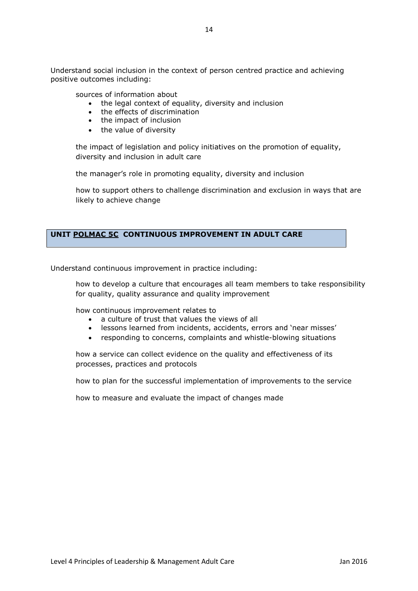Understand social inclusion in the context of person centred practice and achieving positive outcomes including:

sources of information about

- the legal context of equality, diversity and inclusion
- $\bullet$  the effects of discrimination
- the impact of inclusion
- the value of diversity

the impact of legislation and policy initiatives on the promotion of equality, diversity and inclusion in adult care

the manager's role in promoting equality, diversity and inclusion

how to support others to challenge discrimination and exclusion in ways that are likely to achieve change

#### **UNIT POLMAC 5C CONTINUOUS IMPROVEMENT IN ADULT CARE**

Understand continuous improvement in practice including:

how to develop a culture that encourages all team members to take responsibility for quality, quality assurance and quality improvement

how continuous improvement relates to

- a culture of trust that values the views of all
- lessons learned from incidents, accidents, errors and 'near misses'
- responding to concerns, complaints and whistle-blowing situations

how a service can collect evidence on the quality and effectiveness of its processes, practices and protocols

how to plan for the successful implementation of improvements to the service

how to measure and evaluate the impact of changes made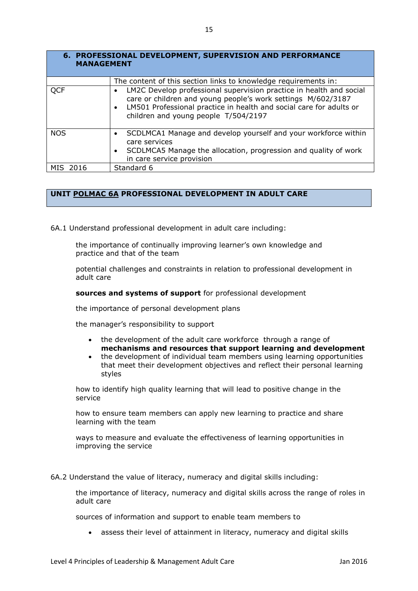| 6. PROFESSIONAL DEVELOPMENT, SUPERVISION AND PERFORMANCE<br><b>MANAGEMENT</b> |                                                                                                                                                                                                                                                    |
|-------------------------------------------------------------------------------|----------------------------------------------------------------------------------------------------------------------------------------------------------------------------------------------------------------------------------------------------|
|                                                                               | The content of this section links to knowledge requirements in:                                                                                                                                                                                    |
| <b>QCF</b>                                                                    | LM2C Develop professional supervision practice in health and social<br>care or children and young people's work settings M/602/3187<br>LM501 Professional practice in health and social care for adults or<br>children and young people T/504/2197 |
| <b>NOS</b>                                                                    | SCDLMCA1 Manage and develop yourself and your workforce within<br>care services<br>SCDLMCA5 Manage the allocation, progression and quality of work                                                                                                 |
|                                                                               | in care service provision                                                                                                                                                                                                                          |
| MIS 2016                                                                      | Standard 6                                                                                                                                                                                                                                         |

#### **UNIT POLMAC 6A PROFESSIONAL DEVELOPMENT IN ADULT CARE**

6A.1 Understand professional development in adult care including:

the importance of continually improving learner's own knowledge and practice and that of the team

potential challenges and constraints in relation to professional development in adult care

**sources and systems of support** for professional development

the importance of personal development plans

the manager's responsibility to support

- the development of the adult care workforce through a range of **mechanisms and resources that support learning and development**
- the development of individual team members using learning opportunities that meet their development objectives and reflect their personal learning styles

how to identify high quality learning that will lead to positive change in the service

how to ensure team members can apply new learning to practice and share learning with the team

ways to measure and evaluate the effectiveness of learning opportunities in improving the service

6A.2 Understand the value of literacy, numeracy and digital skills including:

the importance of literacy, numeracy and digital skills across the range of roles in adult care

sources of information and support to enable team members to

assess their level of attainment in literacy, numeracy and digital skills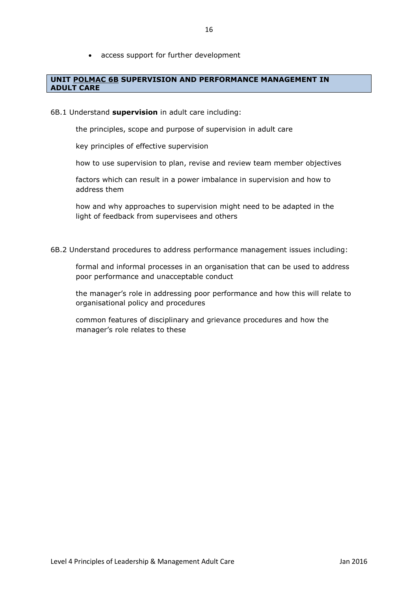access support for further development

#### **UNIT POLMAC 6B SUPERVISION AND PERFORMANCE MANAGEMENT IN ADULT CARE**

#### 6B.1 Understand **supervision** in adult care including:

the principles, scope and purpose of supervision in adult care

key principles of effective supervision

how to use supervision to plan, revise and review team member objectives

factors which can result in a power imbalance in supervision and how to address them

how and why approaches to supervision might need to be adapted in the light of feedback from supervisees and others

6B.2 Understand procedures to address performance management issues including:

formal and informal processes in an organisation that can be used to address poor performance and unacceptable conduct

the manager's role in addressing poor performance and how this will relate to organisational policy and procedures

common features of disciplinary and grievance procedures and how the manager's role relates to these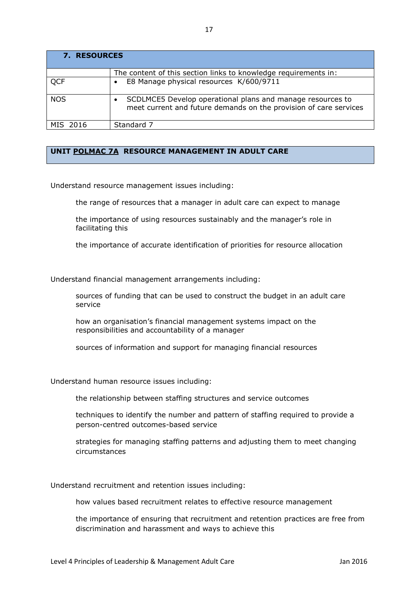| <b>7. RESOURCES</b> |                                                                                                                                 |
|---------------------|---------------------------------------------------------------------------------------------------------------------------------|
|                     | The content of this section links to knowledge requirements in:                                                                 |
| QCF                 | E8 Manage physical resources K/600/9711<br>$\bullet$                                                                            |
| <b>NOS</b>          | SCDLMCE5 Develop operational plans and manage resources to<br>meet current and future demands on the provision of care services |
| MIS 2016            | Standard 7                                                                                                                      |

#### **UNIT POLMAC 7A RESOURCE MANAGEMENT IN ADULT CARE**

Understand resource management issues including:

the range of resources that a manager in adult care can expect to manage

the importance of using resources sustainably and the manager's role in facilitating this

the importance of accurate identification of priorities for resource allocation

Understand financial management arrangements including:

sources of funding that can be used to construct the budget in an adult care service

how an organisation's financial management systems impact on the responsibilities and accountability of a manager

sources of information and support for managing financial resources

Understand human resource issues including:

the relationship between staffing structures and service outcomes

techniques to identify the number and pattern of staffing required to provide a person-centred outcomes-based service

strategies for managing staffing patterns and adjusting them to meet changing circumstances

Understand recruitment and retention issues including:

how values based recruitment relates to effective resource management

the importance of ensuring that recruitment and retention practices are free from discrimination and harassment and ways to achieve this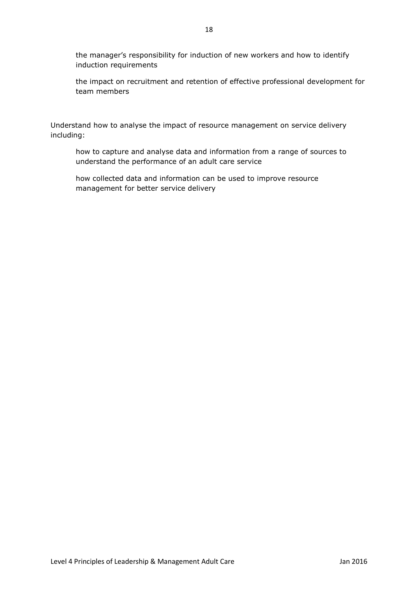the manager's responsibility for induction of new workers and how to identify induction requirements

the impact on recruitment and retention of effective professional development for team members

Understand how to analyse the impact of resource management on service delivery including:

how to capture and analyse data and information from a range of sources to understand the performance of an adult care service

how collected data and information can be used to improve resource management for better service delivery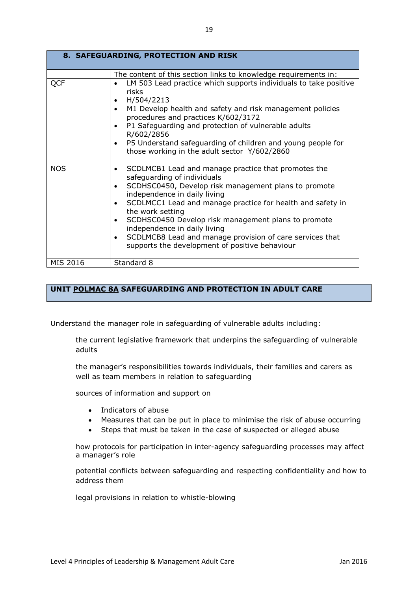| 8. SAFEGUARDING, PROTECTION AND RISK |                                                                                                                                                                                                                                                                                                                                                                                                                                                                                                                                    |
|--------------------------------------|------------------------------------------------------------------------------------------------------------------------------------------------------------------------------------------------------------------------------------------------------------------------------------------------------------------------------------------------------------------------------------------------------------------------------------------------------------------------------------------------------------------------------------|
| QCF                                  | The content of this section links to knowledge requirements in:<br>LM 503 Lead practice which supports individuals to take positive<br>risks<br>H/504/2213<br>$\bullet$<br>M1 Develop health and safety and risk management policies<br>$\bullet$<br>procedures and practices K/602/3172<br>P1 Safeguarding and protection of vulnerable adults<br>$\bullet$<br>R/602/2856<br>P5 Understand safeguarding of children and young people for<br>$\bullet$<br>those working in the adult sector Y/602/2860                             |
| <b>NOS</b>                           | SCDLMCB1 Lead and manage practice that promotes the<br>$\bullet$<br>safeguarding of individuals<br>SCDHSC0450, Develop risk management plans to promote<br>$\bullet$<br>independence in daily living<br>SCDLMCC1 Lead and manage practice for health and safety in<br>$\bullet$<br>the work setting<br>SCDHSC0450 Develop risk management plans to promote<br>$\bullet$<br>independence in daily living<br>SCDLMCB8 Lead and manage provision of care services that<br>$\bullet$<br>supports the development of positive behaviour |
| MIS 2016                             | Standard 8                                                                                                                                                                                                                                                                                                                                                                                                                                                                                                                         |

#### **UNIT POLMAC 8A SAFEGUARDING AND PROTECTION IN ADULT CARE**

Understand the manager role in safeguarding of vulnerable adults including:

the current legislative framework that underpins the safeguarding of vulnerable adults

the manager's responsibilities towards individuals, their families and carers as well as team members in relation to safeguarding

sources of information and support on

- Indicators of abuse
- Measures that can be put in place to minimise the risk of abuse occurring
- Steps that must be taken in the case of suspected or alleged abuse

how protocols for participation in inter-agency safeguarding processes may affect a manager's role

potential conflicts between safeguarding and respecting confidentiality and how to address them

legal provisions in relation to whistle-blowing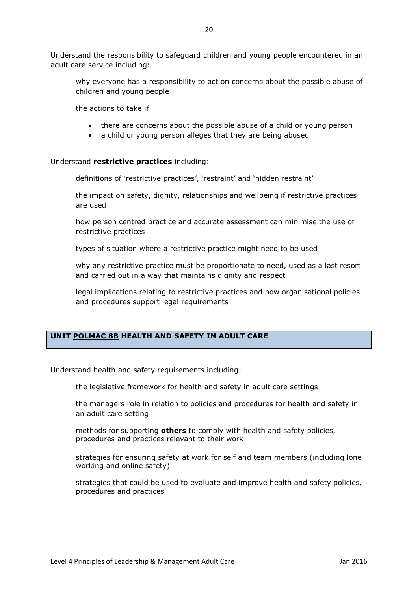Understand the responsibility to safeguard children and young people encountered in an adult care service including:

why everyone has a responsibility to act on concerns about the possible abuse of children and young people

the actions to take if

- there are concerns about the possible abuse of a child or young person
- a child or young person alleges that they are being abused

#### Understand **restrictive practices** including:

definitions of 'restrictive practices', 'restraint' and 'hidden restraint'

the impact on safety, dignity, relationships and wellbeing if restrictive practices are used

how person centred practice and accurate assessment can minimise the use of restrictive practices

types of situation where a restrictive practice might need to be used

why any restrictive practice must be proportionate to need, used as a last resort and carried out in a way that maintains dignity and respect

legal implications relating to restrictive practices and how organisational policies and procedures support legal requirements

#### **UNIT POLMAC 8B HEALTH AND SAFETY IN ADULT CARE**

Understand health and safety requirements including:

the legislative framework for health and safety in adult care settings

the managers role in relation to policies and procedures for health and safety in an adult care setting

methods for supporting **others** to comply with health and safety policies, procedures and practices relevant to their work

strategies for ensuring safety at work for self and team members (including lone working and online safety)

strategies that could be used to evaluate and improve health and safety policies, procedures and practices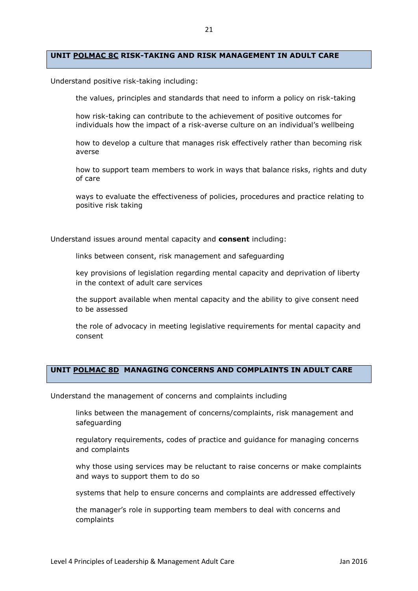#### **UNIT POLMAC 8C RISK-TAKING AND RISK MANAGEMENT IN ADULT CARE**

Understand positive risk-taking including:

the values, principles and standards that need to inform a policy on risk-taking

how risk-taking can contribute to the achievement of positive outcomes for individuals how the impact of a risk-averse culture on an individual's wellbeing

how to develop a culture that manages risk effectively rather than becoming risk averse

how to support team members to work in ways that balance risks, rights and duty of care

ways to evaluate the effectiveness of policies, procedures and practice relating to positive risk taking

Understand issues around mental capacity and **consent** including:

links between consent, risk management and safeguarding

key provisions of legislation regarding mental capacity and deprivation of liberty in the context of adult care services

the support available when mental capacity and the ability to give consent need to be assessed

the role of advocacy in meeting legislative requirements for mental capacity and consent

#### **UNIT POLMAC 8D MANAGING CONCERNS AND COMPLAINTS IN ADULT CARE**

Understand the management of concerns and complaints including

links between the management of concerns/complaints, risk management and safeguarding

regulatory requirements, codes of practice and guidance for managing concerns and complaints

why those using services may be reluctant to raise concerns or make complaints and ways to support them to do so

systems that help to ensure concerns and complaints are addressed effectively

the manager's role in supporting team members to deal with concerns and complaints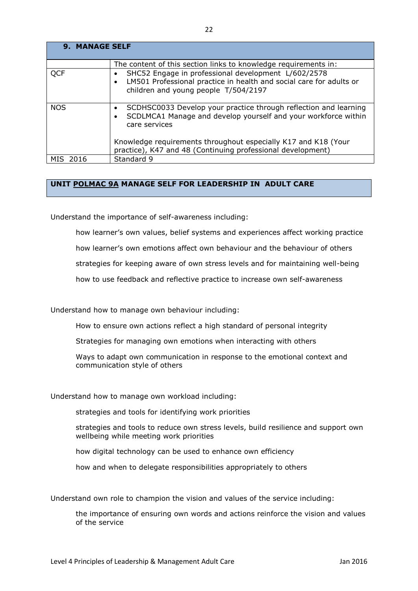| <b>9. MANAGE SELF</b> |                                                                                                                                                                       |
|-----------------------|-----------------------------------------------------------------------------------------------------------------------------------------------------------------------|
|                       | The content of this section links to knowledge requirements in:                                                                                                       |
| <b>QCF</b>            | SHC52 Engage in professional development L/602/2578<br>LM501 Professional practice in health and social care for adults or<br>children and young people T/504/2197    |
| <b>NOS</b>            | SCDHSC0033 Develop your practice through reflection and learning<br>٠<br>SCDLMCA1 Manage and develop yourself and your workforce within<br>$\bullet$<br>care services |
|                       | Knowledge requirements throughout especially K17 and K18 (Your<br>practice), K47 and 48 (Continuing professional development)                                         |
| MIS<br>2016           | Standard 9                                                                                                                                                            |

#### **UNIT POLMAC 9A MANAGE SELF FOR LEADERSHIP IN ADULT CARE**

Understand the importance of self-awareness including:

how learner's own values, belief systems and experiences affect working practice

how learner's own emotions affect own behaviour and the behaviour of others

strategies for keeping aware of own stress levels and for maintaining well-being

how to use feedback and reflective practice to increase own self-awareness

Understand how to manage own behaviour including:

How to ensure own actions reflect a high standard of personal integrity

Strategies for managing own emotions when interacting with others

Ways to adapt own communication in response to the emotional context and communication style of others

Understand how to manage own workload including:

strategies and tools for identifying work priorities

strategies and tools to reduce own stress levels, build resilience and support own wellbeing while meeting work priorities

how digital technology can be used to enhance own efficiency

how and when to delegate responsibilities appropriately to others

Understand own role to champion the vision and values of the service including:

the importance of ensuring own words and actions reinforce the vision and values of the service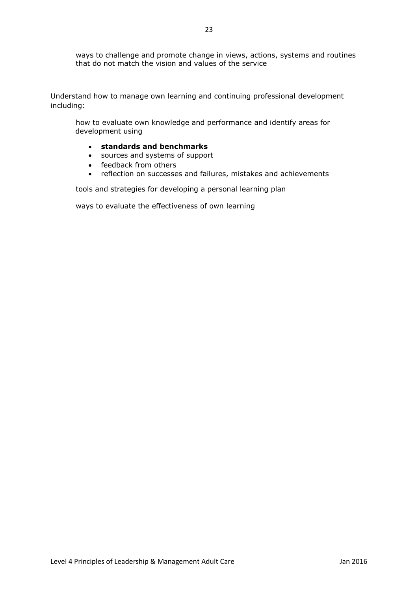ways to challenge and promote change in views, actions, systems and routines that do not match the vision and values of the service

Understand how to manage own learning and continuing professional development including:

how to evaluate own knowledge and performance and identify areas for development using

- **standards and benchmarks**
- sources and systems of support
- feedback from others
- reflection on successes and failures, mistakes and achievements

tools and strategies for developing a personal learning plan

ways to evaluate the effectiveness of own learning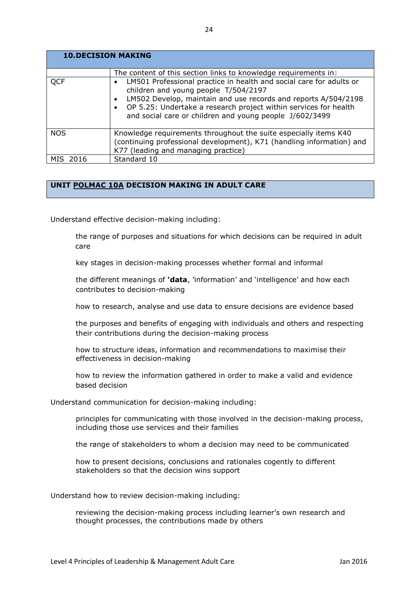| <b>10.DECISION MAKING</b> |                                                                                                                                                                                                                                                                                                                           |
|---------------------------|---------------------------------------------------------------------------------------------------------------------------------------------------------------------------------------------------------------------------------------------------------------------------------------------------------------------------|
|                           | The content of this section links to knowledge requirements in:                                                                                                                                                                                                                                                           |
| <b>QCF</b>                | LM501 Professional practice in health and social care for adults or<br>children and young people T/504/2197<br>LM502 Develop, maintain and use records and reports A/504/2198<br>OP 5.25: Undertake a research project within services for health<br>$\bullet$<br>and social care or children and young people J/602/3499 |
| <b>NOS</b>                | Knowledge requirements throughout the suite especially items K40<br>(continuing professional development), K71 (handling information) and<br>K77 (leading and managing practice)                                                                                                                                          |
| MIS 2016                  | Standard 10                                                                                                                                                                                                                                                                                                               |

#### **UNIT POLMAC 10A DECISION MAKING IN ADULT CARE**

Understand effective decision-making including:

the range of purposes and situations for which decisions can be required in adult care

key stages in decision-making processes whether formal and informal

the different meanings of **'data**, 'information' and 'intelligence' and how each contributes to decision-making

how to research, analyse and use data to ensure decisions are evidence based

the purposes and benefits of engaging with individuals and others and respecting their contributions during the decision-making process

how to structure ideas, information and recommendations to maximise their effectiveness in decision-making

how to review the information gathered in order to make a valid and evidence based decision

Understand communication for decision-making including:

principles for communicating with those involved in the decision-making process, including those use services and their families

the range of stakeholders to whom a decision may need to be communicated

how to present decisions, conclusions and rationales cogently to different stakeholders so that the decision wins support

Understand how to review decision-making including:

reviewing the decision-making process including learner's own research and thought processes, the contributions made by others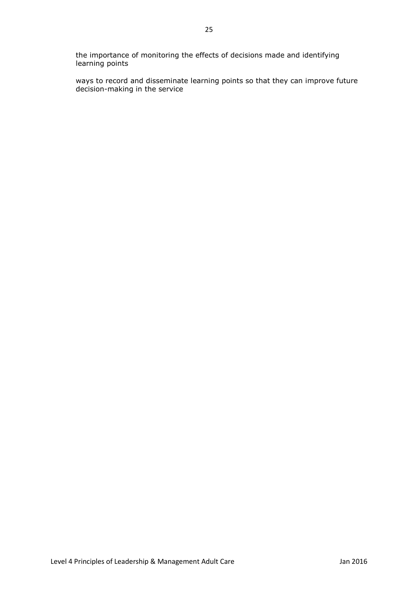the importance of monitoring the effects of decisions made and identifying learning points

ways to record and disseminate learning points so that they can improve future decision-making in the service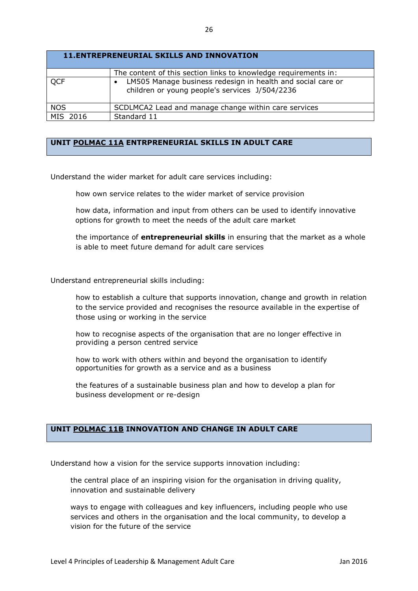| <b>11.ENTREPRENEURIAL SKILLS AND INNOVATION</b> |                                                                                                               |  |
|-------------------------------------------------|---------------------------------------------------------------------------------------------------------------|--|
|                                                 | The content of this section links to knowledge requirements in:                                               |  |
| <b>QCF</b>                                      | LM505 Manage business redesign in health and social care or<br>children or young people's services J/504/2236 |  |
| <b>NOS</b>                                      | SCDLMCA2 Lead and manage change within care services                                                          |  |
| MIS 2016                                        | Standard 11                                                                                                   |  |

#### **UNIT POLMAC 11A ENTRPRENEURIAL SKILLS IN ADULT CARE**

Understand the wider market for adult care services including:

how own service relates to the wider market of service provision

how data, information and input from others can be used to identify innovative options for growth to meet the needs of the adult care market

the importance of **entrepreneurial skills** in ensuring that the market as a whole is able to meet future demand for adult care services

Understand entrepreneurial skills including:

how to establish a culture that supports innovation, change and growth in relation to the service provided and recognises the resource available in the expertise of those using or working in the service

how to recognise aspects of the organisation that are no longer effective in providing a person centred service

how to work with others within and beyond the organisation to identify opportunities for growth as a service and as a business

the features of a sustainable business plan and how to develop a plan for business development or re-design

#### **UNIT POLMAC 11B INNOVATION AND CHANGE IN ADULT CARE**

Understand how a vision for the service supports innovation including:

the central place of an inspiring vision for the organisation in driving quality, innovation and sustainable delivery

ways to engage with colleagues and key influencers, including people who use services and others in the organisation and the local community, to develop a vision for the future of the service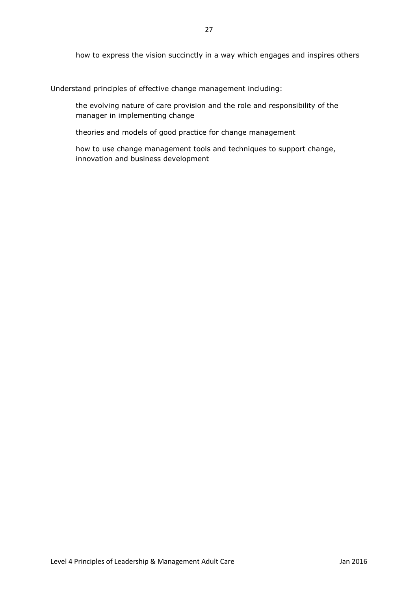how to express the vision succinctly in a way which engages and inspires others

Understand principles of effective change management including:

the evolving nature of care provision and the role and responsibility of the manager in implementing change

theories and models of good practice for change management

how to use change management tools and techniques to support change, innovation and business development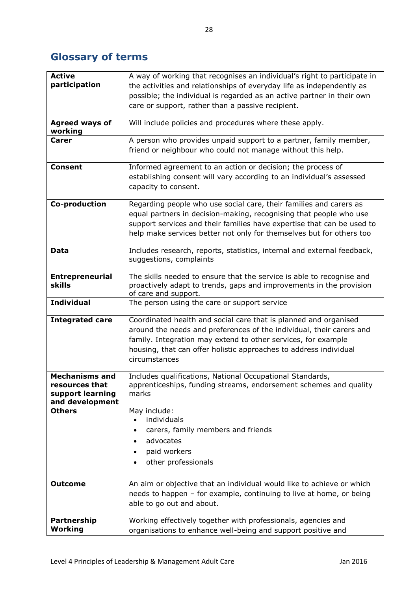## **Glossary of terms**

| <b>Active</b>                       | A way of working that recognises an individual's right to participate in |
|-------------------------------------|--------------------------------------------------------------------------|
| participation                       | the activities and relationships of everyday life as independently as    |
|                                     | possible; the individual is regarded as an active partner in their own   |
|                                     | care or support, rather than a passive recipient.                        |
| <b>Agreed ways of</b>               | Will include policies and procedures where these apply.                  |
| working                             |                                                                          |
| <b>Carer</b>                        | A person who provides unpaid support to a partner, family member,        |
|                                     | friend or neighbour who could not manage without this help.              |
| <b>Consent</b>                      | Informed agreement to an action or decision; the process of              |
|                                     | establishing consent will vary according to an individual's assessed     |
|                                     | capacity to consent.                                                     |
| <b>Co-production</b>                | Regarding people who use social care, their families and carers as       |
|                                     | equal partners in decision-making, recognising that people who use       |
|                                     | support services and their families have expertise that can be used to   |
|                                     | help make services better not only for themselves but for others too     |
| Data                                | Includes research, reports, statistics, internal and external feedback,  |
|                                     | suggestions, complaints                                                  |
| <b>Entrepreneurial</b>              | The skills needed to ensure that the service is able to recognise and    |
| skills                              | proactively adapt to trends, gaps and improvements in the provision      |
| <b>Individual</b>                   | of care and support.                                                     |
|                                     | The person using the care or support service                             |
| <b>Integrated care</b>              | Coordinated health and social care that is planned and organised         |
|                                     | around the needs and preferences of the individual, their carers and     |
|                                     | family. Integration may extend to other services, for example            |
|                                     | housing, that can offer holistic approaches to address individual        |
|                                     | circumstances                                                            |
| <b>Mechanisms and</b>               | Includes qualifications, National Occupational Standards,                |
| resources that                      | apprenticeships, funding streams, endorsement schemes and quality        |
| support learning<br>and development | marks                                                                    |
| <b>Others</b>                       | May include:                                                             |
|                                     | individuals                                                              |
|                                     | carers, family members and friends                                       |
|                                     | advocates                                                                |
|                                     | paid workers                                                             |
|                                     | other professionals                                                      |
|                                     |                                                                          |
| <b>Outcome</b>                      | An aim or objective that an individual would like to achieve or which    |
|                                     | needs to happen - for example, continuing to live at home, or being      |
|                                     | able to go out and about.                                                |
| Partnership                         | Working effectively together with professionals, agencies and            |
| Working                             | organisations to enhance well-being and support positive and             |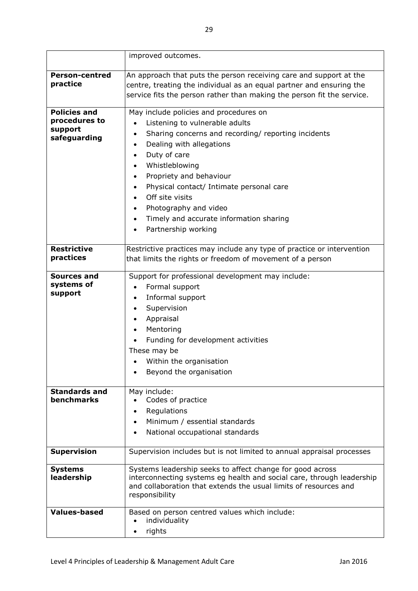|                                                                 | improved outcomes.                                                                                                                                                                                                                                                                                                                                                                                                                                                                                                   |
|-----------------------------------------------------------------|----------------------------------------------------------------------------------------------------------------------------------------------------------------------------------------------------------------------------------------------------------------------------------------------------------------------------------------------------------------------------------------------------------------------------------------------------------------------------------------------------------------------|
| <b>Person-centred</b><br>practice                               | An approach that puts the person receiving care and support at the<br>centre, treating the individual as an equal partner and ensuring the<br>service fits the person rather than making the person fit the service.                                                                                                                                                                                                                                                                                                 |
| <b>Policies and</b><br>procedures to<br>support<br>safeguarding | May include policies and procedures on<br>Listening to vulnerable adults<br>$\bullet$<br>Sharing concerns and recording/ reporting incidents<br>$\bullet$<br>Dealing with allegations<br>$\bullet$<br>Duty of care<br>$\bullet$<br>Whistleblowing<br>$\bullet$<br>Propriety and behaviour<br>$\bullet$<br>Physical contact/ Intimate personal care<br>$\bullet$<br>Off site visits<br>$\bullet$<br>Photography and video<br>$\bullet$<br>Timely and accurate information sharing<br>$\bullet$<br>Partnership working |
| <b>Restrictive</b><br>practices                                 | Restrictive practices may include any type of practice or intervention<br>that limits the rights or freedom of movement of a person                                                                                                                                                                                                                                                                                                                                                                                  |
| Sources and<br>systems of<br>support                            | Support for professional development may include:<br>Formal support<br>$\bullet$<br>Informal support<br>$\bullet$<br>Supervision<br>$\bullet$<br>Appraisal<br>$\bullet$<br>Mentoring<br>Funding for development activities<br>These may be<br>Within the organisation<br>Beyond the organisation                                                                                                                                                                                                                     |
| <b>Standards and</b><br><b>benchmarks</b>                       | May include:<br>Codes of practice<br>Regulations<br>Minimum / essential standards<br>National occupational standards<br>$\bullet$                                                                                                                                                                                                                                                                                                                                                                                    |
| <b>Supervision</b>                                              | Supervision includes but is not limited to annual appraisal processes                                                                                                                                                                                                                                                                                                                                                                                                                                                |
| <b>Systems</b><br>leadership                                    | Systems leadership seeks to affect change for good across<br>interconnecting systems eg health and social care, through leadership<br>and collaboration that extends the usual limits of resources and<br>responsibility                                                                                                                                                                                                                                                                                             |
| <b>Values-based</b>                                             | Based on person centred values which include:<br>individuality<br>rights<br>$\bullet$                                                                                                                                                                                                                                                                                                                                                                                                                                |